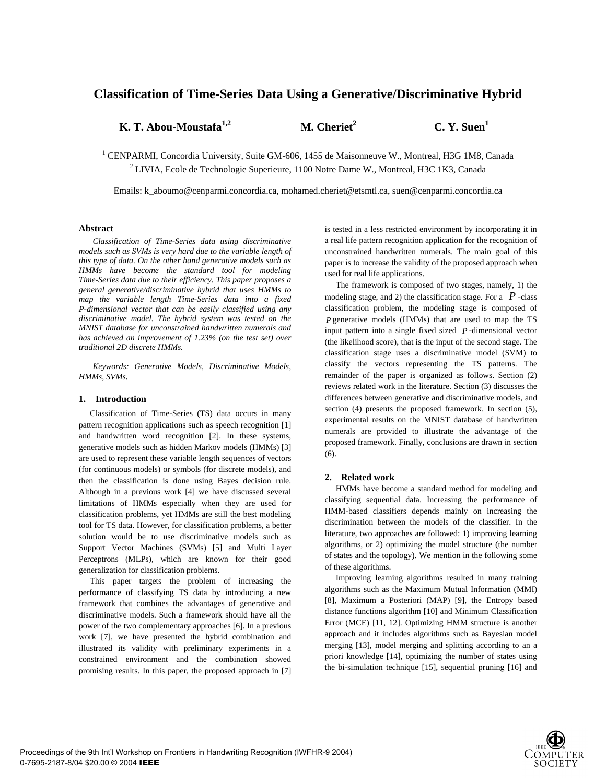# **Classification of Time-Series Data Using a Generative/Discriminative Hybrid**

**K. T. Abou-Moustafa**<sup>1,2</sup> **M. Cheriet**<sup>2</sup>

 **C. Y. Suen<sup>1</sup>**

<sup>1</sup> CENPARMI, Concordia University, Suite GM-606, 1455 de Maisonneuve W., Montreal, H3G 1M8, Canada <sup>2</sup> LIVIA, Ecole de Technologie Superieure, 1100 Notre Dame W., Montreal, H3C 1K3, Canada

Emails: k\_aboumo@cenparmi.concordia.ca, mohamed.cheriet@etsmtl.ca, suen@cenparmi.concordia.ca

# **Abstract**

*Classification of Time-Series data using discriminative models such as SVMs is very hard due to the variable length of this type of data. On the other hand generative models such as HMMs have become the standard tool for modeling Time-Series data due to their efficiency. This paper proposes a general generative/discriminative hybrid that uses HMMs to map the variable length Time-Series data into a fixed P-dimensional vector that can be easily classified using any discriminative model. The hybrid system was tested on the MNIST database for unconstrained handwritten numerals and has achieved an improvement of 1.23% (on the test set) over traditional 2D discrete HMMs.* 

*Keywords: Generative Models, Discriminative Models, HMMs, SVMs.* 

# **1. Introduction**

Classification of Time-Series (TS) data occurs in many pattern recognition applications such as speech recognition [1] and handwritten word recognition [2]. In these systems, generative models such as hidden Markov models (HMMs) [3] are used to represent these variable length sequences of vectors (for continuous models) or symbols (for discrete models), and then the classification is done using Bayes decision rule. Although in a previous work [4] we have discussed several limitations of HMMs especially when they are used for classification problems, yet HMMs are still the best modeling tool for TS data. However, for classification problems, a better solution would be to use discriminative models such as Support Vector Machines (SVMs) [5] and Multi Layer Perceptrons (MLPs), which are known for their good generalization for classification problems.

This paper targets the problem of increasing the performance of classifying TS data by introducing a new framework that combines the advantages of generative and discriminative models. Such a framework should have all the power of the two complementary approaches [6]. In a previous work [7], we have presented the hybrid combination and illustrated its validity with preliminary experiments in a constrained environment and the combination showed promising results. In this paper, the proposed approach in [7]

is tested in a less restricted environment by incorporating it in a real life pattern recognition application for the recognition of unconstrained handwritten numerals. The main goal of this paper is to increase the validity of the proposed approach when used for real life applications.

The framework is composed of two stages, namely, 1) the modeling stage, and 2) the classification stage. For a  $P$  -class classification problem, the modeling stage is composed of *P* generative models (HMMs) that are used to map the TS input pattern into a single fixed sized *P* -dimensional vector (the likelihood score), that is the input of the second stage. The classification stage uses a discriminative model (SVM) to classify the vectors representing the TS patterns. The remainder of the paper is organized as follows. Section (2) reviews related work in the literature. Section (3) discusses the differences between generative and discriminative models, and section (4) presents the proposed framework. In section (5), experimental results on the MNIST database of handwritten numerals are provided to illustrate the advantage of the proposed framework. Finally, conclusions are drawn in section (6).

## **2. Related work**

HMMs have become a standard method for modeling and classifying sequential data. Increasing the performance of HMM-based classifiers depends mainly on increasing the discrimination between the models of the classifier. In the literature, two approaches are followed: 1) improving learning algorithms, or 2) optimizing the model structure (the number of states and the topology). We mention in the following some of these algorithms.

Improving learning algorithms resulted in many training algorithms such as the Maximum Mutual Information (MMI) [8], Maximum a Posteriori (MAP) [9], the Entropy based distance functions algorithm [10] and Minimum Classification Error (MCE) [11, 12]. Optimizing HMM structure is another approach and it includes algorithms such as Bayesian model merging [13], model merging and splitting according to an a priori knowledge [14], optimizing the number of states using the bi-simulation technique [15], sequential pruning [16] and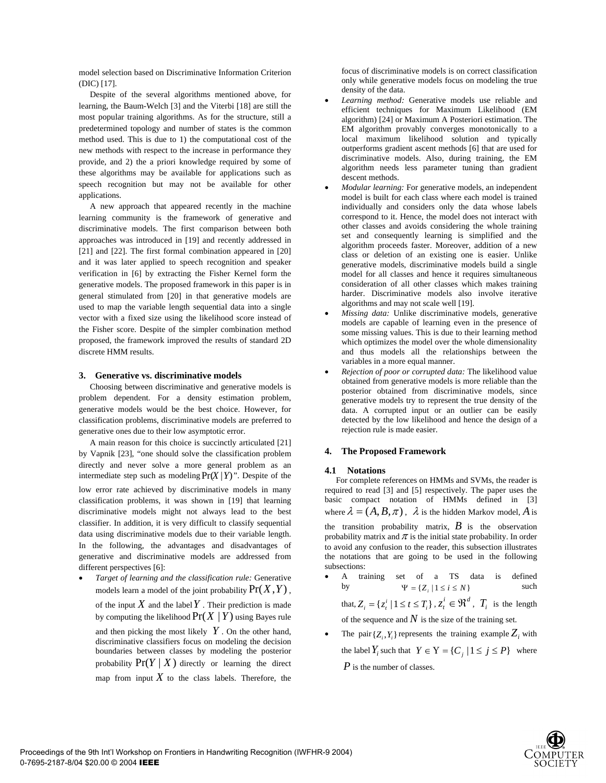model selection based on Discriminative Information Criterion (DIC) [17].

Despite of the several algorithms mentioned above, for learning, the Baum-Welch [3] and the Viterbi [18] are still the most popular training algorithms. As for the structure, still a predetermined topology and number of states is the common method used. This is due to 1) the computational cost of the new methods with respect to the increase in performance they provide, and 2) the a priori knowledge required by some of these algorithms may be available for applications such as speech recognition but may not be available for other applications.

A new approach that appeared recently in the machine learning community is the framework of generative and discriminative models. The first comparison between both approaches was introduced in [19] and recently addressed in [21] and [22]. The first formal combination appeared in [20] and it was later applied to speech recognition and speaker verification in [6] by extracting the Fisher Kernel form the generative models. The proposed framework in this paper is in general stimulated from [20] in that generative models are used to map the variable length sequential data into a single vector with a fixed size using the likelihood score instead of the Fisher score. Despite of the simpler combination method proposed, the framework improved the results of standard 2D discrete HMM results.

#### **3. Generative vs. discriminative models**

Choosing between discriminative and generative models is problem dependent. For a density estimation problem, generative models would be the best choice. However, for classification problems, discriminative models are preferred to generative ones due to their low asymptotic error.

A main reason for this choice is succinctly articulated [21] by Vapnik [23], "one should solve the classification problem directly and never solve a more general problem as an intermediate step such as modeling  $Pr(X|Y)$ ". Despite of the low error rate achieved by discriminative models in many classification problems, it was shown in [19] that learning discriminative models might not always lead to the best classifier. In addition, it is very difficult to classify sequential data using discriminative models due to their variable length. In the following, the advantages and disadvantages of generative and discriminative models are addressed from different perspectives [6]:

• *Target of learning and the classification rule:* Generative models learn a model of the joint probability  $Pr(X, Y)$ , of the input  $X$  and the label  $Y$ . Their prediction is made by computing the likelihood  $Pr(X | Y)$  using Bayes rule and then picking the most likely  $Y$ . On the other hand, discriminative classifiers focus on modeling the decision boundaries between classes by modeling the posterior probability  $Pr(Y | X)$  directly or learning the direct

map from input  $X$  to the class labels. Therefore, the

focus of discriminative models is on correct classification only while generative models focus on modeling the true density of the data.

- *Learning method:* Generative models use reliable and efficient techniques for Maximum Likelihood (EM algorithm) [24] or Maximum A Posteriori estimation. The EM algorithm provably converges monotonically to a local maximum likelihood solution and typically outperforms gradient ascent methods [6] that are used for discriminative models. Also, during training, the EM algorithm needs less parameter tuning than gradient descent methods.
- *Modular learning:* For generative models, an independent model is built for each class where each model is trained individually and considers only the data whose labels correspond to it. Hence, the model does not interact with other classes and avoids considering the whole training set and consequently learning is simplified and the algorithm proceeds faster. Moreover, addition of a new class or deletion of an existing one is easier. Unlike generative models, discriminative models build a single model for all classes and hence it requires simultaneous consideration of all other classes which makes training harder. Discriminative models also involve iterative algorithms and may not scale well [19].
- *Missing data:* Unlike discriminative models, generative models are capable of learning even in the presence of some missing values. This is due to their learning method which optimizes the model over the whole dimensionality and thus models all the relationships between the variables in a more equal manner.
- *Rejection of poor or corrupted data:* The likelihood value obtained from generative models is more reliable than the posterior obtained from discriminative models, since generative models try to represent the true density of the data. A corrupted input or an outlier can be easily detected by the low likelihood and hence the design of a rejection rule is made easier.

## **4. The Proposed Framework**

#### **4.1 Notations**

 For complete references on HMMs and SVMs, the reader is required to read [3] and [5] respectively. The paper uses the basic compact notation of HMMs defined in [3] where  $\lambda = (A, B, \pi)$ ,  $\lambda$  is the hidden Markov model, A is the transition probability matrix,  $\vec{B}$  is the observation probability matrix and  $\pi$  is the initial state probability. In order to avoid any confusion to the reader, this subsection illustrates the notations that are going to be used in the following subsections:

• A training set of a TS data is defined by  $\Psi = \{Z_i | 1 \le i \le N\}$  such

that, 
$$
Z_i = \{z_t^i | 1 \le t \le T_i\}
$$
,  $z_t^i \in \mathbb{R}^d$ ,  $T_i$  is the length

of the sequence and  $N$  is the size of the training set.

The pair  ${Z_i, Y_i}$  represents the training example  $Z_i$  with the label  $Y_i$  such that  $Y \in Y = \{C_i | 1 \le j \le P\}$  where

*P* is the number of classes.

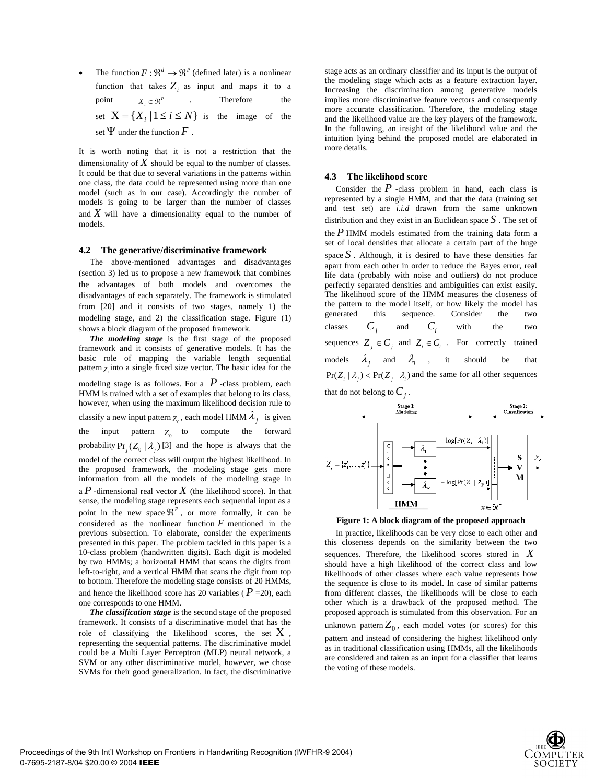The function  $F: \mathbb{R}^d \to \mathbb{R}^p$  (defined later) is a nonlinear function that takes  $Z_i$  as input and maps it to a point  $X_i \in \mathbb{R}^P$  . Therefore the set  $X = \{X_i | 1 \le i \le N\}$  is the image of the set  $\Psi$  under the function  $F$ .

It is worth noting that it is not a restriction that the dimensionality of  $X$  should be equal to the number of classes. It could be that due to several variations in the patterns within one class, the data could be represented using more than one model (such as in our case). Accordingly the number of models is going to be larger than the number of classes and  $X$  will have a dimensionality equal to the number of models.

# **4.2 The generative/discriminative framework**

The above-mentioned advantages and disadvantages (section 3) led us to propose a new framework that combines the advantages of both models and overcomes the disadvantages of each separately. The framework is stimulated from [20] and it consists of two stages, namely 1) the modeling stage, and 2) the classification stage. Figure (1) shows a block diagram of the proposed framework.

*The modeling stage* is the first stage of the proposed framework and it consists of generative models. It has the basic role of mapping the variable length sequential pattern  $Z_i$  into a single fixed size vector. The basic idea for the modeling stage is as follows. For a  $P$ -class problem, each HMM is trained with a set of examples that belong to its class, however, when using the maximum likelihood decision rule to classify a new input pattern  $Z_0$ , each model HMM  $\lambda_i$  is given the input pattern  $Z_0$  to compute the forward probability  $Pr_i(Z_0 | \lambda_i)$  [3] and the hope is always that the model of the correct class will output the highest likelihood. In the proposed framework, the modeling stage gets more information from all the models of the modeling stage in a  $P$  -dimensional real vector  $X$  (the likelihood score). In that sense, the modeling stage represents each sequential input as a point in the new space  $\mathfrak{R}^P$ , or more formally, it can be considered as the nonlinear function *F* mentioned in the previous subsection. To elaborate, consider the experiments presented in this paper. The problem tackled in this paper is a 10-class problem (handwritten digits). Each digit is modeled by two HMMs; a horizontal HMM that scans the digits from left-to-right, and a vertical HMM that scans the digit from top to bottom. Therefore the modeling stage consists of 20 HMMs, and hence the likelihood score has 20 variables ( $P = 20$ ), each one corresponds to one HMM.

*The classification stage* is the second stage of the proposed framework. It consists of a discriminative model that has the role of classifying the likelihood scores, the set  $X$ , representing the sequential patterns. The discriminative model could be a Multi Layer Perceptron (MLP) neural network, a SVM or any other discriminative model, however, we chose SVMs for their good generalization. In fact, the discriminative

stage acts as an ordinary classifier and its input is the output of the modeling stage which acts as a feature extraction layer. Increasing the discrimination among generative models implies more discriminative feature vectors and consequently more accurate classification. Therefore, the modeling stage and the likelihood value are the key players of the framework. In the following, an insight of the likelihood value and the intuition lying behind the proposed model are elaborated in more details.

# **4.3 The likelihood score**

Consider the  $P$  -class problem in hand, each class is represented by a single HMM, and that the data (training set and test set) are *i.i.d* drawn from the same unknown distribution and they exist in an Euclidean space  $S$ . The set of the  $P$  HMM models estimated from the training data form a set of local densities that allocate a certain part of the huge space  $S$ . Although, it is desired to have these densities far apart from each other in order to reduce the Bayes error, real life data (probably with noise and outliers) do not produce perfectly separated densities and ambiguities can exist easily. The likelihood score of the HMM measures the closeness of the pattern to the model itself, or how likely the model has generated this sequence. Consider the two classes  $C_j$  and  $C_i$  with the two sequences  $Z_i \in C_i$  and  $Z_i \in C_i$ . For correctly trained models  $\lambda_i$  and  $\lambda_i$  , it should be that  $Pr(Z_i | \lambda_i)$  <  $Pr(Z_i | \lambda_i)$  and the same for all other sequences that do not belong to  $C_i$ .



**Figure 1: A block diagram of the proposed approach**

In practice, likelihoods can be very close to each other and this closeness depends on the similarity between the two sequences. Therefore, the likelihood scores stored in *X* should have a high likelihood of the correct class and low likelihoods of other classes where each value represents how the sequence is close to its model. In case of similar patterns from different classes, the likelihoods will be close to each other which is a drawback of the proposed method. The proposed approach is stimulated from this observation. For an unknown pattern  $Z_0$ , each model votes (or scores) for this pattern and instead of considering the highest likelihood only as in traditional classification using HMMs, all the likelihoods are considered and taken as an input for a classifier that learns the voting of these models.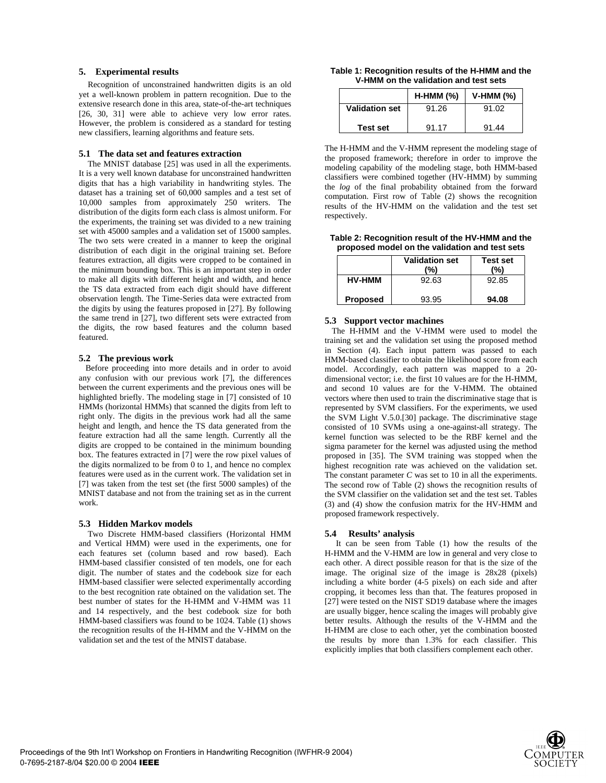#### **5. Experimental results**

 Recognition of unconstrained handwritten digits is an old yet a well-known problem in pattern recognition. Due to the extensive research done in this area, state-of-the-art techniques [26, 30, 31] were able to achieve very low error rates. However, the problem is considered as a standard for testing new classifiers, learning algorithms and feature sets.

#### **5.1 The data set and features extraction**

 The MNIST database [25] was used in all the experiments. It is a very well known database for unconstrained handwritten digits that has a high variability in handwriting styles. The dataset has a training set of 60,000 samples and a test set of 10,000 samples from approximately 250 writers. The distribution of the digits form each class is almost uniform. For the experiments, the training set was divided to a new training set with 45000 samples and a validation set of 15000 samples. The two sets were created in a manner to keep the original distribution of each digit in the original training set. Before features extraction, all digits were cropped to be contained in the minimum bounding box. This is an important step in order to make all digits with different height and width, and hence the TS data extracted from each digit should have different observation length. The Time-Series data were extracted from the digits by using the features proposed in [27]. By following the same trend in [27], two different sets were extracted from the digits, the row based features and the column based featured.

## **5.2 The previous work**

 Before proceeding into more details and in order to avoid any confusion with our previous work [7], the differences between the current experiments and the previous ones will be highlighted briefly. The modeling stage in [7] consisted of 10 HMMs (horizontal HMMs) that scanned the digits from left to right only. The digits in the previous work had all the same height and length, and hence the TS data generated from the feature extraction had all the same length. Currently all the digits are cropped to be contained in the minimum bounding box. The features extracted in [7] were the row pixel values of the digits normalized to be from 0 to 1, and hence no complex features were used as in the current work. The validation set in [7] was taken from the test set (the first 5000 samples) of the MNIST database and not from the training set as in the current work.

#### **5.3 Hidden Markov models**

 Two Discrete HMM-based classifiers (Horizontal HMM and Vertical HMM) were used in the experiments, one for each features set (column based and row based). Each HMM-based classifier consisted of ten models, one for each digit. The number of states and the codebook size for each HMM-based classifier were selected experimentally according to the best recognition rate obtained on the validation set. The best number of states for the H-HMM and V-HMM was 11 and 14 respectively, and the best codebook size for both HMM-based classifiers was found to be 1024. Table (1) shows the recognition results of the H-HMM and the V-HMM on the validation set and the test of the MNIST database.

**Table 1: Recognition results of the H-HMM and the V-HMM on the validation and test sets** 

|                       | $H-HMM (%)$ | $V-HMM (%)$ |
|-----------------------|-------------|-------------|
| <b>Validation set</b> | 91.26       | 91.02       |
| <b>Test set</b>       | 91.17       | 91.44       |

The H-HMM and the V-HMM represent the modeling stage of the proposed framework; therefore in order to improve the modeling capability of the modeling stage, both HMM-based classifiers were combined together (HV-HMM) by summing the *log* of the final probability obtained from the forward computation. First row of Table (2) shows the recognition results of the HV-HMM on the validation and the test set respectively.

**Table 2: Recognition result of the HV-HMM and the proposed model on the validation and test sets** 

|                 | <b>Validation set</b><br>(%) | <b>Test set</b><br>(%) |
|-----------------|------------------------------|------------------------|
| <b>HV-HMM</b>   | 92.63                        | 92.85                  |
| <b>Proposed</b> | 93.95                        | 94.08                  |

# **5.3 Support vector machines**

The H-HMM and the V-HMM were used to model the training set and the validation set using the proposed method in Section (4). Each input pattern was passed to each HMM-based classifier to obtain the likelihood score from each model. Accordingly, each pattern was mapped to a 20 dimensional vector; i.e. the first 10 values are for the H-HMM, and second 10 values are for the V-HMM. The obtained vectors where then used to train the discriminative stage that is represented by SVM classifiers. For the experiments, we used the SVM Light V.5.0.[30] package. The discriminative stage consisted of 10 SVMs using a one-against-all strategy. The kernel function was selected to be the RBF kernel and the sigma parameter for the kernel was adjusted using the method proposed in [35]. The SVM training was stopped when the highest recognition rate was achieved on the validation set. The constant parameter *C* was set to 10 in all the experiments. The second row of Table (2) shows the recognition results of the SVM classifier on the validation set and the test set. Tables (3) and (4) show the confusion matrix for the HV-HMM and proposed framework respectively.

# **5.4 Results' analysis**

 It can be seen from Table (1) how the results of the H-HMM and the V-HMM are low in general and very close to each other. A direct possible reason for that is the size of the image. The original size of the image is 28x28 (pixels) including a white border (4-5 pixels) on each side and after cropping, it becomes less than that. The features proposed in [27] were tested on the NIST SD19 database where the images are usually bigger, hence scaling the images will probably give better results. Although the results of the V-HMM and the H-HMM are close to each other, yet the combination boosted the results by more than 1.3% for each classifier. This explicitly implies that both classifiers complement each other.

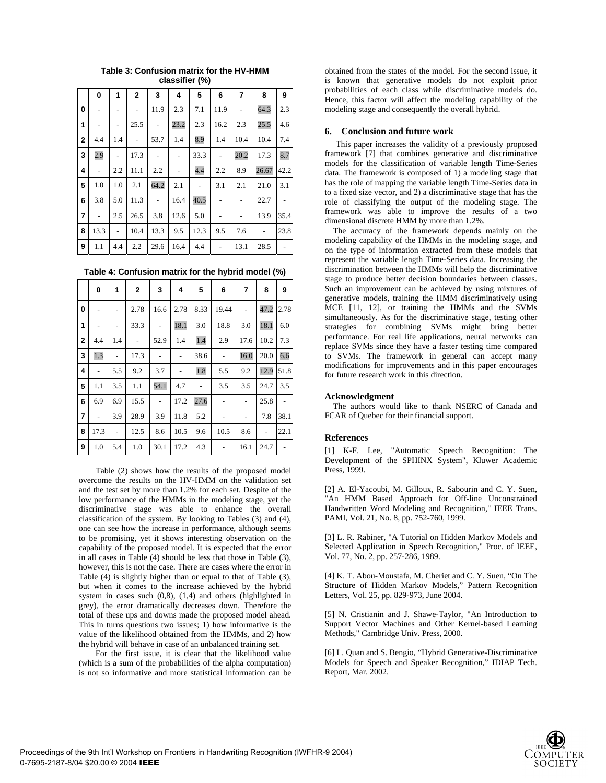|              | 0                         | 1              | $\mathbf{2}$ | 3                            | 4    | 5                        | 6                        | 7    | 8     | 9              |
|--------------|---------------------------|----------------|--------------|------------------------------|------|--------------------------|--------------------------|------|-------|----------------|
| 0            |                           | -              |              | 11.9                         | 2.3  | 7.1                      | 11.9                     |      | 64.3  | 2.3            |
| 1            |                           | $\overline{a}$ | 25.5         | $\overline{a}$               | 23.2 | 2.3                      | 16.2                     | 2.3  | 25.5  | 4.6            |
| $\mathbf{2}$ | 4.4                       | 1.4            |              | 53.7                         | 1.4  | 8.9                      | 1.4                      | 10.4 | 10.4  | 7.4            |
| 3            | 2.9                       | -              | 17.3         |                              | ÷,   | 33.3                     | $\overline{\phantom{a}}$ | 20.2 | 17.3  | 8.7            |
| 4            |                           | 2.2            | 11.1         | 2.2                          |      | 4.4                      | 2.2                      | 8.9  | 26.67 | 42.2           |
| 5            | 1.0                       | 1.0            | 2.1          | 64.2                         | 2.1  | $\overline{\phantom{0}}$ | 3.1                      | 2.1  | 21.0  | 3.1            |
| 6            | 3.8                       | 5.0            | 11.3         | $\qquad \qquad \blacksquare$ | 16.4 | 40.5                     |                          |      | 22.7  |                |
| 7            | $\mathbb{L}^{\mathbb{N}}$ | 2.5            | 26.5         | 3.8                          | 12.6 | 5.0                      | $\overline{\phantom{a}}$ | -    | 13.9  | 35.4           |
| 8            | 13.3                      | $\overline{a}$ | 10.4         | 13.3                         | 9.5  | 12.3                     | 9.5                      | 7.6  |       | 23.8           |
| 9            | 1.1                       | 4.4            | 2.2          | 29.6                         | 16.4 | 4.4                      | $\overline{\phantom{a}}$ | 13.1 | 28.5  | $\overline{a}$ |

## **Table 3: Confusion matrix for the HV-HMM classifier (%)**

|  | Table 4: Confusion matrix for the hybrid model (%) |  |
|--|----------------------------------------------------|--|
|  |                                                    |  |

|             | 0    | 1   | $\overline{2}$ | 3              | 4                            | 5    | 6                 | 7                        | 8                        | 9    |
|-------------|------|-----|----------------|----------------|------------------------------|------|-------------------|--------------------------|--------------------------|------|
| 0           |      |     | 2.78           | 16.6           | 2.78                         | 8.33 | 19.44             |                          | 47.2                     | 2.78 |
| 1           |      |     | 33.3           | $\overline{a}$ | 18.1                         | 3.0  | 18.8              | 3.0                      | 18.1                     | 6.0  |
| $\mathbf 2$ | 4.4  | 1.4 |                | 52.9           | 1.4                          | 1.4  | 2.9               | 17.6                     | 10.2                     | 7.3  |
| 3           | 1.3  | -   | 17.3           |                | $\qquad \qquad \blacksquare$ | 38.6 | $\qquad \qquad -$ | 16.0                     | 20.0                     | 6.6  |
| 4           |      | 5.5 | 9.2            | 3.7            |                              | 1.8  | 5.5               | 9.2                      | 12.9                     | 51.8 |
| 5           | 1.1  | 3.5 | 1.1            | 54.1           | 4.7                          |      | 3.5               | 3.5                      | 24.7                     | 3.5  |
| 6           | 6.9  | 6.9 | 15.5           |                | 17.2                         | 27.6 |                   | $\overline{\phantom{0}}$ | 25.8                     |      |
| 7           |      | 3.9 | 28.9           | 3.9            | 11.8                         | 5.2  |                   |                          | 7.8                      | 38.1 |
| 8           | 17.3 |     | 12.5           | 8.6            | 10.5                         | 9.6  | 10.5              | 8.6                      | $\overline{\phantom{m}}$ | 22.1 |
| 9           | 1.0  | 5.4 | 1.0            | 30.1           | 17.2                         | 4.3  |                   | 16.1                     | 24.7                     |      |

Table (2) shows how the results of the proposed model overcome the results on the HV-HMM on the validation set and the test set by more than 1.2% for each set. Despite of the low performance of the HMMs in the modeling stage, yet the discriminative stage was able to enhance the overall classification of the system. By looking to Tables (3) and (4), one can see how the increase in performance, although seems to be promising, yet it shows interesting observation on the capability of the proposed model. It is expected that the error in all cases in Table (4) should be less that those in Table (3), however, this is not the case. There are cases where the error in Table (4) is slightly higher than or equal to that of Table (3), but when it comes to the increase achieved by the hybrid system in cases such (0,8), (1,4) and others (highlighted in grey), the error dramatically decreases down. Therefore the total of these ups and downs made the proposed model ahead. This in turns questions two issues; 1) how informative is the value of the likelihood obtained from the HMMs, and 2) how the hybrid will behave in case of an unbalanced training set.

For the first issue, it is clear that the likelihood value (which is a sum of the probabilities of the alpha computation) is not so informative and more statistical information can be obtained from the states of the model. For the second issue, it is known that generative models do not exploit prior probabilities of each class while discriminative models do. Hence, this factor will affect the modeling capability of the modeling stage and consequently the overall hybrid.

# **6. Conclusion and future work**

 This paper increases the validity of a previously proposed framework [7] that combines generative and discriminative models for the classification of variable length Time-Series data. The framework is composed of 1) a modeling stage that has the role of mapping the variable length Time-Series data in to a fixed size vector, and 2) a discriminative stage that has the role of classifying the output of the modeling stage. The framework was able to improve the results of a two dimensional discrete HMM by more than 1.2%.

 The accuracy of the framework depends mainly on the modeling capability of the HMMs in the modeling stage, and on the type of information extracted from these models that represent the variable length Time-Series data. Increasing the discrimination between the HMMs will help the discriminative stage to produce better decision boundaries between classes. Such an improvement can be achieved by using mixtures of generative models, training the HMM discriminatively using MCE [11, 12], or training the HMMs and the SVMs simultaneously. As for the discriminative stage, testing other strategies for combining SVMs might bring better performance. For real life applications, neural networks can replace SVMs since they have a faster testing time compared to SVMs. The framework in general can accept many modifications for improvements and in this paper encourages for future research work in this direction.

# **Acknowledgment**

The authors would like to thank NSERC of Canada and FCAR of Quebec for their financial support.

# **References**

[1] K-F. Lee, "Automatic Speech Recognition: The Development of the SPHINX System", Kluwer Academic Press, 1999.

[2] A. El-Yacoubi, M. Gilloux, R. Sabourin and C. Y. Suen, "An HMM Based Approach for Off-line Unconstrained Handwritten Word Modeling and Recognition," IEEE Trans. PAMI, Vol. 21, No. 8, pp. 752-760, 1999.

[3] L. R. Rabiner, "A Tutorial on Hidden Markov Models and Selected Application in Speech Recognition," Proc. of IEEE, Vol. 77, No. 2, pp. 257-286, 1989.

[4] K. T. Abou-Moustafa, M. Cheriet and C. Y. Suen, "On The Structure of Hidden Markov Models," Pattern Recognition Letters, Vol. 25, pp. 829-973, June 2004.

[5] N. Cristianin and J. Shawe-Taylor, "An Introduction to Support Vector Machines and Other Kernel-based Learning Methods," Cambridge Univ. Press, 2000.

[6] L. Quan and S. Bengio, "Hybrid Generative-Discriminative Models for Speech and Speaker Recognition," IDIAP Tech. Report, Mar. 2002.